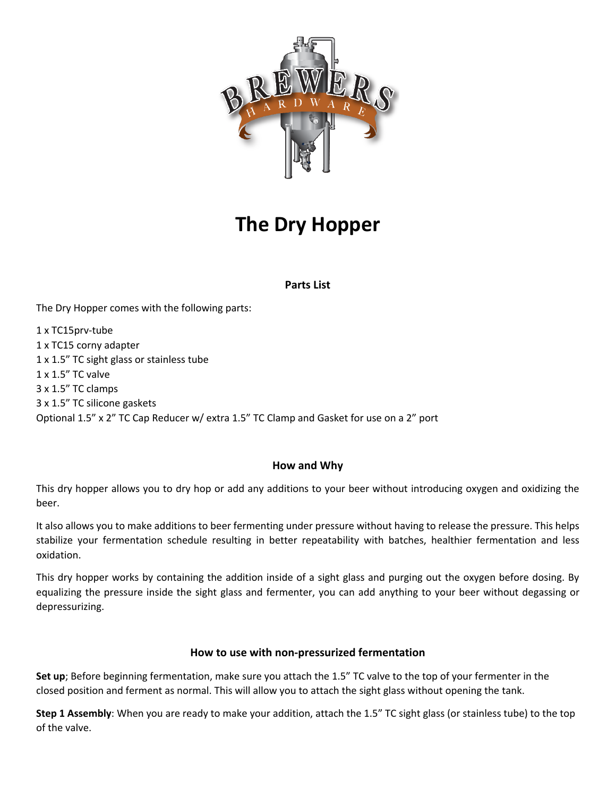

# **The Dry Hopper**

## **Parts List**

The Dry Hopper comes with the following parts:

1 x TC15prv-tube 1 x TC15 corny adapter 1 x 1.5" TC sight glass or stainless tube 1 x 1.5" TC valve 3 x 1.5" TC clamps 3 x 1.5" TC silicone gaskets Optional 1.5" x 2" TC Cap Reducer w/ extra 1.5" TC Clamp and Gasket for use on a 2" port

## **How and Why**

This dry hopper allows you to dry hop or add any additions to your beer without introducing oxygen and oxidizing the beer.

It also allows you to make additions to beer fermenting under pressure without having to release the pressure. This helps stabilize your fermentation schedule resulting in better repeatability with batches, healthier fermentation and less oxidation.

This dry hopper works by containing the addition inside of a sight glass and purging out the oxygen before dosing. By equalizing the pressure inside the sight glass and fermenter, you can add anything to your beer without degassing or depressurizing.

#### **How to use with non-pressurized fermentation**

**Set up**; Before beginning fermentation, make sure you attach the 1.5" TC valve to the top of your fermenter in the closed position and ferment as normal. This will allow you to attach the sight glass without opening the tank.

**Step 1 Assembly**: When you are ready to make your addition, attach the 1.5" TC sight glass (or stainless tube) to the top of the valve.